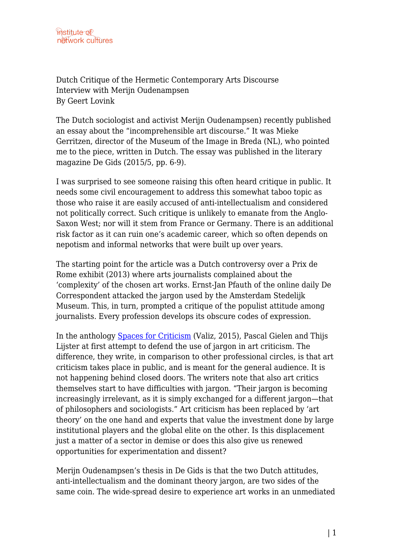Dutch Critique of the Hermetic Contemporary Arts Discourse Interview with Merijn Oudenampsen By Geert Lovink

The Dutch sociologist and activist Merijn Oudenampsen) recently published an essay about the "incomprehensible art discourse." It was Mieke Gerritzen, director of the Museum of the Image in Breda (NL), who pointed me to the piece, written in Dutch. The essay was published in the literary magazine De Gids (2015/5, pp. 6-9).

I was surprised to see someone raising this often heard critique in public. It needs some civil encouragement to address this somewhat taboo topic as those who raise it are easily accused of anti-intellectualism and considered not politically correct. Such critique is unlikely to emanate from the Anglo-Saxon West; nor will it stem from France or Germany. There is an additional risk factor as it can ruin one's academic career, which so often depends on nepotism and informal networks that were built up over years.

The starting point for the article was a Dutch controversy over a Prix de Rome exhibit (2013) where arts journalists complained about the 'complexity' of the chosen art works. Ernst-Jan Pfauth of the online daily De Correspondent attacked the jargon used by the Amsterdam Stedelijk Museum. This, in turn, prompted a critique of the populist attitude among journalists. Every profession develops its obscure codes of expression.

In the anthology [Spaces for Criticism](http://www.valiz.nl/webshop/en/categorieen/product/101-spaces-for-criticism-shifts-in-contemporary-art-discourses.html) (Valiz, 2015), Pascal Gielen and Thijs Lijster at first attempt to defend the use of jargon in art criticism. The difference, they write, in comparison to other professional circles, is that art criticism takes place in public, and is meant for the general audience. It is not happening behind closed doors. The writers note that also art critics themselves start to have difficulties with jargon. "Their jargon is becoming increasingly irrelevant, as it is simply exchanged for a different jargon—that of philosophers and sociologists." Art criticism has been replaced by 'art theory' on the one hand and experts that value the investment done by large institutional players and the global elite on the other. Is this displacement just a matter of a sector in demise or does this also give us renewed opportunities for experimentation and dissent?

Merijn Oudenampsen's thesis in De Gids is that the two Dutch attitudes, anti-intellectualism and the dominant theory jargon, are two sides of the same coin. The wide-spread desire to experience art works in an unmediated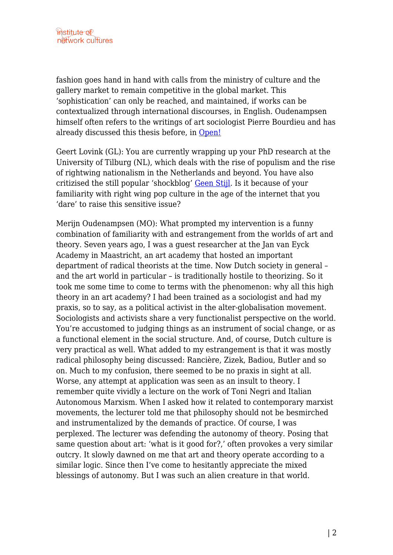fashion goes hand in hand with calls from the ministry of culture and the gallery market to remain competitive in the global market. This 'sophistication' can only be reached, and maintained, if works can be contextualized through international discourses, in English. Oudenampsen himself often refers to the writings of art sociologist Pierre Bourdieu and has already discussed this thesis before, in [Open!](http://www.onlineopen.org/lost-in-translation)

Geert Lovink (GL): You are currently wrapping up your PhD research at the University of Tilburg (NL), which deals with the rise of populism and the rise of rightwing nationalism in the Netherlands and beyond. You have also critizised the still popular 'shockblog' [Geen Stijl.](https://en.wikipedia.org/wiki/GeenStijl) Is it because of your familiarity with right wing pop culture in the age of the internet that you 'dare' to raise this sensitive issue?

Merijn Oudenampsen (MO): What prompted my intervention is a funny combination of familiarity with and estrangement from the worlds of art and theory. Seven years ago, I was a guest researcher at the Jan van Eyck Academy in Maastricht, an art academy that hosted an important department of radical theorists at the time. Now Dutch society in general – and the art world in particular – is traditionally hostile to theorizing. So it took me some time to come to terms with the phenomenon: why all this high theory in an art academy? I had been trained as a sociologist and had my praxis, so to say, as a political activist in the alter-globalisation movement. Sociologists and activists share a very functionalist perspective on the world. You're accustomed to judging things as an instrument of social change, or as a functional element in the social structure. And, of course, Dutch culture is very practical as well. What added to my estrangement is that it was mostly radical philosophy being discussed: Rancière, Zizek, Badiou, Butler and so on. Much to my confusion, there seemed to be no praxis in sight at all. Worse, any attempt at application was seen as an insult to theory. I remember quite vividly a lecture on the work of Toni Negri and Italian Autonomous Marxism. When I asked how it related to contemporary marxist movements, the lecturer told me that philosophy should not be besmirched and instrumentalized by the demands of practice. Of course, I was perplexed. The lecturer was defending the autonomy of theory. Posing that same question about art: 'what is it good for?,' often provokes a very similar outcry. It slowly dawned on me that art and theory operate according to a similar logic. Since then I've come to hesitantly appreciate the mixed blessings of autonomy. But I was such an alien creature in that world.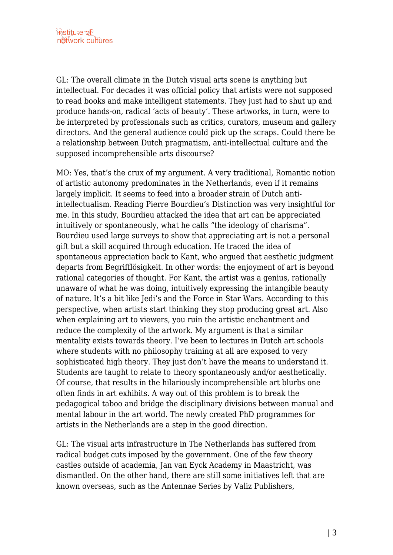GL: The overall climate in the Dutch visual arts scene is anything but intellectual. For decades it was official policy that artists were not supposed to read books and make intelligent statements. They just had to shut up and produce hands-on, radical 'acts of beauty'. These artworks, in turn, were to be interpreted by professionals such as critics, curators, museum and gallery directors. And the general audience could pick up the scraps. Could there be a relationship between Dutch pragmatism, anti-intellectual culture and the supposed incomprehensible arts discourse?

MO: Yes, that's the crux of my argument. A very traditional, Romantic notion of artistic autonomy predominates in the Netherlands, even if it remains largely implicit. It seems to feed into a broader strain of Dutch antiintellectualism. Reading Pierre Bourdieu's Distinction was very insightful for me. In this study, Bourdieu attacked the idea that art can be appreciated intuitively or spontaneously, what he calls "the ideology of charisma". Bourdieu used large surveys to show that appreciating art is not a personal gift but a skill acquired through education. He traced the idea of spontaneous appreciation back to Kant, who argued that aesthetic judgment departs from Begrifflösigkeit. In other words: the enjoyment of art is beyond rational categories of thought. For Kant, the artist was a genius, rationally unaware of what he was doing, intuitively expressing the intangible beauty of nature. It's a bit like Jedi's and the Force in Star Wars. According to this perspective, when artists start thinking they stop producing great art. Also when explaining art to viewers, you ruin the artistic enchantment and reduce the complexity of the artwork. My argument is that a similar mentality exists towards theory. I've been to lectures in Dutch art schools where students with no philosophy training at all are exposed to very sophisticated high theory. They just don't have the means to understand it. Students are taught to relate to theory spontaneously and/or aesthetically. Of course, that results in the hilariously incomprehensible art blurbs one often finds in art exhibits. A way out of this problem is to break the pedagogical taboo and bridge the disciplinary divisions between manual and mental labour in the art world. The newly created PhD programmes for artists in the Netherlands are a step in the good direction.

GL: The visual arts infrastructure in The Netherlands has suffered from radical budget cuts imposed by the government. One of the few theory castles outside of academia, Jan van Eyck Academy in Maastricht, was dismantled. On the other hand, there are still some initiatives left that are known overseas, such as the Antennae Series by Valiz Publishers,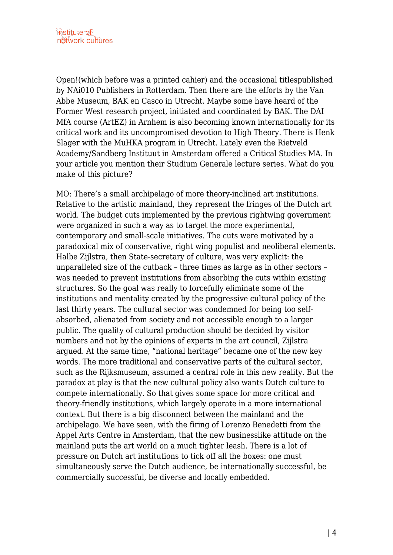Open!(which before was a printed cahier) and the occasional titlespublished by NAi010 Publishers in Rotterdam. Then there are the efforts by the Van Abbe Museum, BAK en Casco in Utrecht. Maybe some have heard of the Former West research project, initiated and coordinated by BAK. The DAI MfA course (ArtEZ) in Arnhem is also becoming known internationally for its critical work and its uncompromised devotion to High Theory. There is Henk Slager with the MuHKA program in Utrecht. Lately even the Rietveld Academy/Sandberg Instituut in Amsterdam offered a Critical Studies MA. In your article you mention their Studium Generale lecture series. What do you make of this picture?

MO: There's a small archipelago of more theory-inclined art institutions. Relative to the artistic mainland, they represent the fringes of the Dutch art world. The budget cuts implemented by the previous rightwing government were organized in such a way as to target the more experimental, contemporary and small-scale initiatives. The cuts were motivated by a paradoxical mix of conservative, right wing populist and neoliberal elements. Halbe Zijlstra, then State-secretary of culture, was very explicit: the unparalleled size of the cutback – three times as large as in other sectors – was needed to prevent institutions from absorbing the cuts within existing structures. So the goal was really to forcefully eliminate some of the institutions and mentality created by the progressive cultural policy of the last thirty years. The cultural sector was condemned for being too selfabsorbed, alienated from society and not accessible enough to a larger public. The quality of cultural production should be decided by visitor numbers and not by the opinions of experts in the art council, Zijlstra argued. At the same time, "national heritage" became one of the new key words. The more traditional and conservative parts of the cultural sector, such as the Rijksmuseum, assumed a central role in this new reality. But the paradox at play is that the new cultural policy also wants Dutch culture to compete internationally. So that gives some space for more critical and theory-friendly institutions, which largely operate in a more international context. But there is a big disconnect between the mainland and the archipelago. We have seen, with the firing of Lorenzo Benedetti from the Appel Arts Centre in Amsterdam, that the new businesslike attitude on the mainland puts the art world on a much tighter leash. There is a lot of pressure on Dutch art institutions to tick off all the boxes: one must simultaneously serve the Dutch audience, be internationally successful, be commercially successful, be diverse and locally embedded.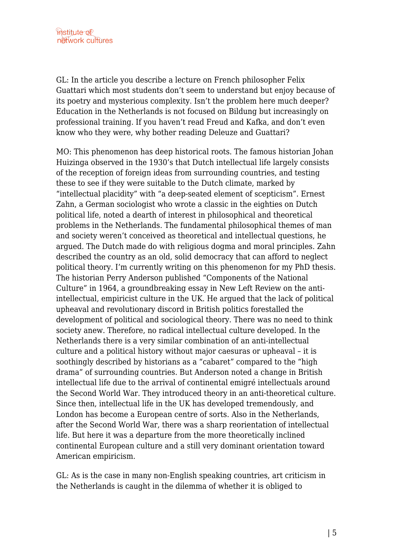GL: In the article you describe a lecture on French philosopher Felix Guattari which most students don't seem to understand but enjoy because of its poetry and mysterious complexity. Isn't the problem here much deeper? Education in the Netherlands is not focused on Bildung but increasingly on professional training. If you haven't read Freud and Kafka, and don't even know who they were, why bother reading Deleuze and Guattari?

MO: This phenomenon has deep historical roots. The famous historian Johan Huizinga observed in the 1930's that Dutch intellectual life largely consists of the reception of foreign ideas from surrounding countries, and testing these to see if they were suitable to the Dutch climate, marked by "intellectual placidity" with "a deep-seated element of scepticism". Ernest Zahn, a German sociologist who wrote a classic in the eighties on Dutch political life, noted a dearth of interest in philosophical and theoretical problems in the Netherlands. The fundamental philosophical themes of man and society weren't conceived as theoretical and intellectual questions, he argued. The Dutch made do with religious dogma and moral principles. Zahn described the country as an old, solid democracy that can afford to neglect political theory. I'm currently writing on this phenomenon for my PhD thesis. The historian Perry Anderson published "Components of the National Culture" in 1964, a groundbreaking essay in New Left Review on the antiintellectual, empiricist culture in the UK. He argued that the lack of political upheaval and revolutionary discord in British politics forestalled the development of political and sociological theory. There was no need to think society anew. Therefore, no radical intellectual culture developed. In the Netherlands there is a very similar combination of an anti-intellectual culture and a political history without major caesuras or upheaval – it is soothingly described by historians as a "cabaret" compared to the "high drama" of surrounding countries. But Anderson noted a change in British intellectual life due to the arrival of continental emigré intellectuals around the Second World War. They introduced theory in an anti-theoretical culture. Since then, intellectual life in the UK has developed tremendously, and London has become a European centre of sorts. Also in the Netherlands, after the Second World War, there was a sharp reorientation of intellectual life. But here it was a departure from the more theoretically inclined continental European culture and a still very dominant orientation toward American empiricism.

GL: As is the case in many non-English speaking countries, art criticism in the Netherlands is caught in the dilemma of whether it is obliged to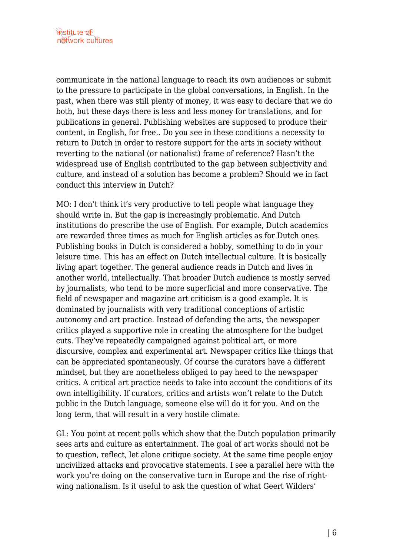communicate in the national language to reach its own audiences or submit to the pressure to participate in the global conversations, in English. In the past, when there was still plenty of money, it was easy to declare that we do both, but these days there is less and less money for translations, and for publications in general. Publishing websites are supposed to produce their content, in English, for free.. Do you see in these conditions a necessity to return to Dutch in order to restore support for the arts in society without reverting to the national (or nationalist) frame of reference? Hasn't the widespread use of English contributed to the gap between subjectivity and culture, and instead of a solution has become a problem? Should we in fact conduct this interview in Dutch?

MO: I don't think it's very productive to tell people what language they should write in. But the gap is increasingly problematic. And Dutch institutions do prescribe the use of English. For example, Dutch academics are rewarded three times as much for English articles as for Dutch ones. Publishing books in Dutch is considered a hobby, something to do in your leisure time. This has an effect on Dutch intellectual culture. It is basically living apart together. The general audience reads in Dutch and lives in another world, intellectually. That broader Dutch audience is mostly served by journalists, who tend to be more superficial and more conservative. The field of newspaper and magazine art criticism is a good example. It is dominated by journalists with very traditional conceptions of artistic autonomy and art practice. Instead of defending the arts, the newspaper critics played a supportive role in creating the atmosphere for the budget cuts. They've repeatedly campaigned against political art, or more discursive, complex and experimental art. Newspaper critics like things that can be appreciated spontaneously. Of course the curators have a different mindset, but they are nonetheless obliged to pay heed to the newspaper critics. A critical art practice needs to take into account the conditions of its own intelligibility. If curators, critics and artists won't relate to the Dutch public in the Dutch language, someone else will do it for you. And on the long term, that will result in a very hostile climate.

GL: You point at recent polls which show that the Dutch population primarily sees arts and culture as entertainment. The goal of art works should not be to question, reflect, let alone critique society. At the same time people enjoy uncivilized attacks and provocative statements. I see a parallel here with the work you're doing on the conservative turn in Europe and the rise of rightwing nationalism. Is it useful to ask the question of what Geert Wilders'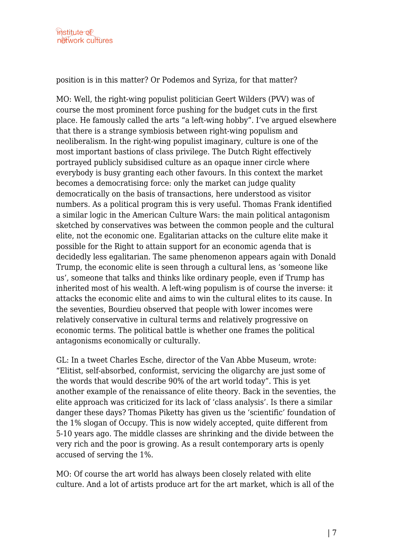position is in this matter? Or Podemos and Syriza, for that matter?

MO: Well, the right-wing populist politician Geert Wilders (PVV) was of course the most prominent force pushing for the budget cuts in the first place. He famously called the arts "a left-wing hobby". I've argued elsewhere that there is a strange symbiosis between right-wing populism and neoliberalism. In the right-wing populist imaginary, culture is one of the most important bastions of class privilege. The Dutch Right effectively portrayed publicly subsidised culture as an opaque inner circle where everybody is busy granting each other favours. In this context the market becomes a democratising force: only the market can judge quality democratically on the basis of transactions, here understood as visitor numbers. As a political program this is very useful. Thomas Frank identified a similar logic in the American Culture Wars: the main political antagonism sketched by conservatives was between the common people and the cultural elite, not the economic one. Egalitarian attacks on the culture elite make it possible for the Right to attain support for an economic agenda that is decidedly less egalitarian. The same phenomenon appears again with Donald Trump, the economic elite is seen through a cultural lens, as 'someone like us', someone that talks and thinks like ordinary people, even if Trump has inherited most of his wealth. A left-wing populism is of course the inverse: it attacks the economic elite and aims to win the cultural elites to its cause. In the seventies, Bourdieu observed that people with lower incomes were relatively conservative in cultural terms and relatively progressive on economic terms. The political battle is whether one frames the political antagonisms economically or culturally.

GL: In a tweet Charles Esche, director of the Van Abbe Museum, wrote: "Elitist, self-absorbed, conformist, servicing the oligarchy are just some of the words that would describe 90% of the art world today". This is yet another example of the renaissance of elite theory. Back in the seventies, the elite approach was criticized for its lack of 'class analysis'. Is there a similar danger these days? Thomas Piketty has given us the 'scientific' foundation of the 1% slogan of Occupy. This is now widely accepted, quite different from 5-10 years ago. The middle classes are shrinking and the divide between the very rich and the poor is growing. As a result contemporary arts is openly accused of serving the 1%.

MO: Of course the art world has always been closely related with elite culture. And a lot of artists produce art for the art market, which is all of the